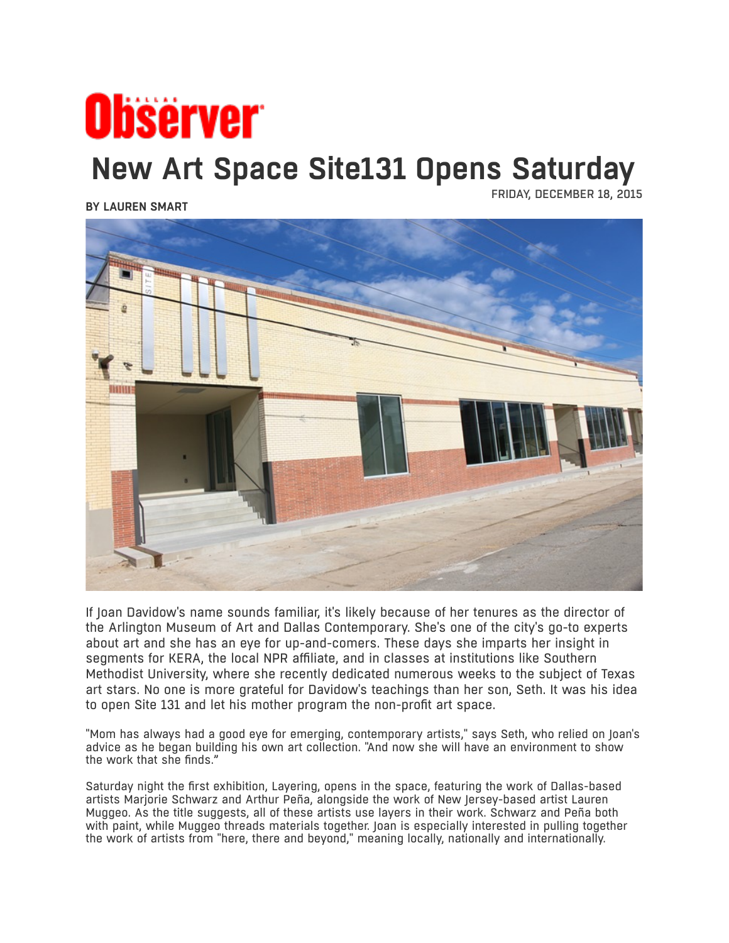## **Observer New Art Space Site131 Opens Saturday**

**BY [LAUREN SMART](http://www.dallasobserver.com/authors/lauren-smart-6372518)**

FRIDAY, DECEMBER 18, 2015



If Joan Davidow's name sounds familiar, it's likely because of her tenures as the director of the Arlington Museum of Art and Dallas Contemporary. She's one of the city's go-to experts about art and she has an eye for up-and-comers. These days she imparts her insight in segments for KERA, the local NPR affiliate, and in classes at institutions like Southern Methodist University, where she recently dedicated numerous weeks to the subject of Texas art stars. No one is more grateful for Davidow's teachings than her son, Seth. It was his idea to open Site 131 and let his mother program the non-profit art space.

"Mom has always had a good eye for emerging, contemporary artists," says Seth, who relied on Joan's advice as he began building his own art collection. "And now she will have an environment to show the work that she finds."

Saturday night the first exhibition, Layering, opens in the space, featuring the work of Dallas-based artists Marjorie Schwarz and Arthur Peña, alongside the work of New Jersey-based artist Lauren Muggeo. As the title suggests, all of these artists use layers in their work. Schwarz and Peña both with paint, while Muggeo threads materials together. Joan is especially interested in pulling together the work of artists from "here, there and beyond," meaning locally, nationally and internationally.